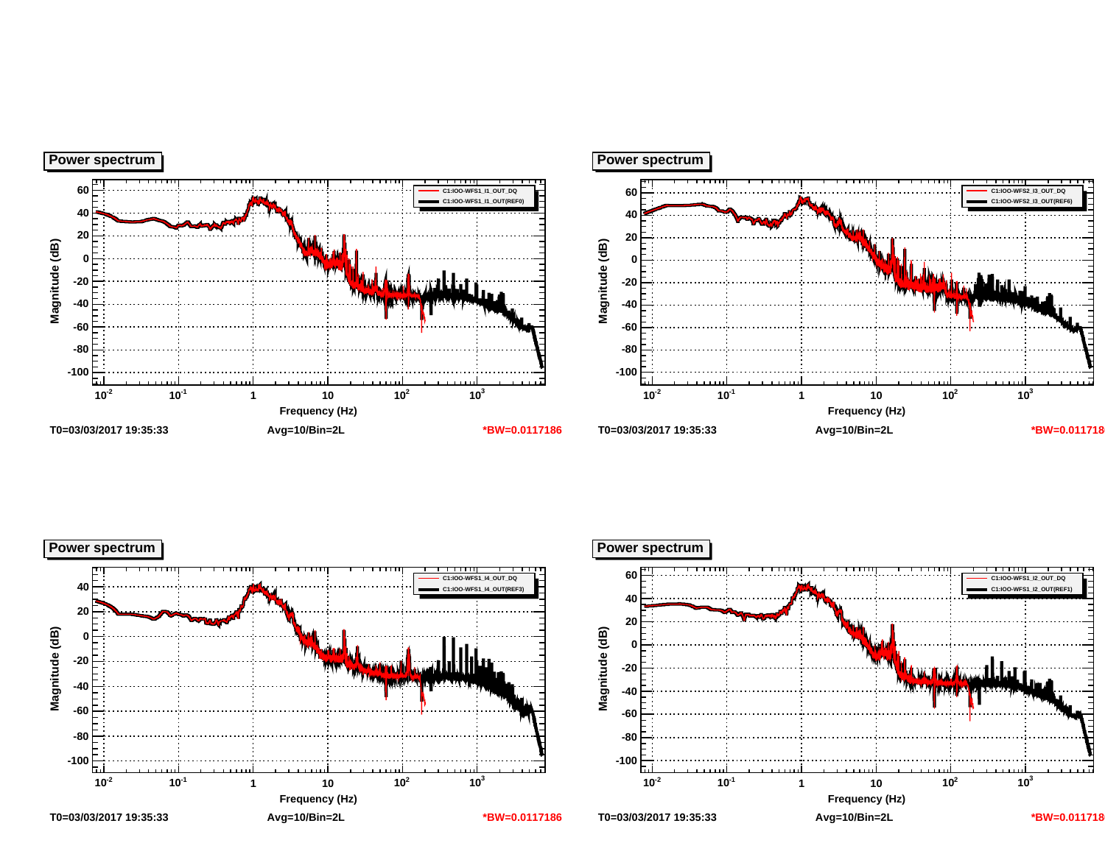